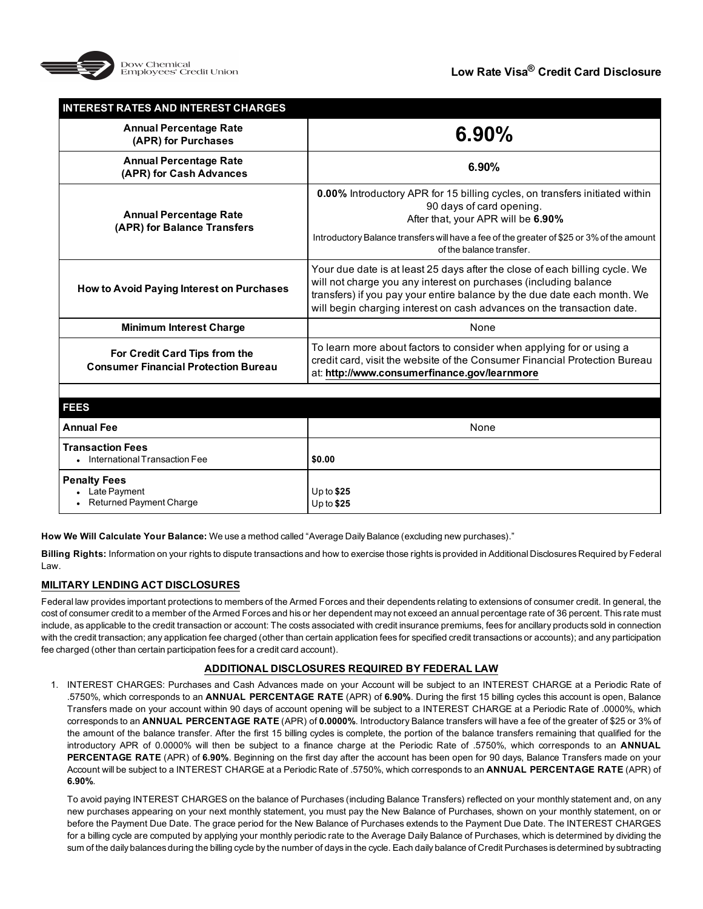

| <b>INTEREST RATES AND INTEREST CHARGES</b>                                   |                                                                                                                                                                                                                                                                                                       |
|------------------------------------------------------------------------------|-------------------------------------------------------------------------------------------------------------------------------------------------------------------------------------------------------------------------------------------------------------------------------------------------------|
| <b>Annual Percentage Rate</b><br>(APR) for Purchases                         | 6.90%                                                                                                                                                                                                                                                                                                 |
| <b>Annual Percentage Rate</b><br>(APR) for Cash Advances                     | 6.90%                                                                                                                                                                                                                                                                                                 |
| <b>Annual Percentage Rate</b><br>(APR) for Balance Transfers                 | <b>0.00%</b> Introductory APR for 15 billing cycles, on transfers initiated within<br>90 days of card opening.<br>After that, your APR will be 6.90%                                                                                                                                                  |
|                                                                              | Introductory Balance transfers will have a fee of the greater of \$25 or 3% of the amount<br>of the balance transfer.                                                                                                                                                                                 |
| How to Avoid Paying Interest on Purchases                                    | Your due date is at least 25 days after the close of each billing cycle. We<br>will not charge you any interest on purchases (including balance<br>transfers) if you pay your entire balance by the due date each month. We<br>will begin charging interest on cash advances on the transaction date. |
| <b>Minimum Interest Charge</b>                                               | None                                                                                                                                                                                                                                                                                                  |
| For Credit Card Tips from the<br><b>Consumer Financial Protection Bureau</b> | To learn more about factors to consider when applying for or using a<br>credit card, visit the website of the Consumer Financial Protection Bureau<br>at: http://www.consumerfinance.gov/learnmore                                                                                                    |
|                                                                              |                                                                                                                                                                                                                                                                                                       |
| <b>FEES</b>                                                                  |                                                                                                                                                                                                                                                                                                       |
| <b>Annual Fee</b>                                                            | None                                                                                                                                                                                                                                                                                                  |
| <b>Transaction Fees</b><br>• International Transaction Fee                   | \$0.00                                                                                                                                                                                                                                                                                                |
| <b>Penalty Fees</b><br>Late Payment<br>Returned Payment Charge               | Up to $$25$<br>Up to $$25$                                                                                                                                                                                                                                                                            |

**How We Will Calculate Your Balance:** We use a method called "Average Daily Balance (excluding new purchases)."

**Billing Rights:** Information on your rights to dispute transactions and how to exercise those rights is provided in Additional Disclosures Required by Federal Law.

# **MILITARY LENDING ACT DISCLOSURES**

Federal law provides important protections to members of the Armed Forces and their dependents relating to extensions of consumer credit. In general, the cost of consumer credit to a member of the Armed Forces and his or her dependent may not exceed an annual percentage rate of 36 percent. This rate must include, as applicable to the credit transaction or account: The costs associated with credit insurance premiums, fees for ancillary products sold in connection with the credit transaction; any application fee charged (other than certain application fees for specified credit transactions or accounts); and any participation fee charged (other than certain participation fees for a credit card account).

# **ADDITIONAL DISCLOSURES REQUIRED BY FEDERAL LAW**

1. INTEREST CHARGES: Purchases and Cash Advances made on your Account will be subject to an INTEREST CHARGE at a Periodic Rate of .5750%, which corresponds to an **ANNUAL PERCENTAGE RATE** (APR) of **6.90%**. During the first 15 billing cycles this account is open, Balance Transfers made on your account within 90 days of account opening will be subject to a INTEREST CHARGE at a Periodic Rate of .0000%, which corresponds to an **ANNUAL PERCENTAGE RATE** (APR) of **0.0000%**. Introductory Balance transfers will have a fee of the greater of \$25 or 3% of the amount of the balance transfer. After the first 15 billing cycles is complete, the portion of the balance transfers remaining that qualified for the introductory APR of 0.0000% will then be subject to a finance charge at the Periodic Rate of .5750%, which corresponds to an **ANNUAL PERCENTAGE RATE** (APR) of **6.90%**. Beginning on the first day after the account has been open for 90 days, Balance Transfers made on your Account will be subject to a INTEREST CHARGE at a Periodic Rate of .5750%, which corresponds to an **ANNUAL PERCENTAGE RATE** (APR) of **6.90%**.

To avoid paying INTEREST CHARGES on the balance of Purchases (including Balance Transfers) reflected on your monthly statement and, on any new purchases appearing on your next monthly statement, you must pay the New Balance of Purchases, shown on your monthly statement, on or before the Payment Due Date. The grace period for the New Balance of Purchases extends to the Payment Due Date. The INTEREST CHARGES for a billing cycle are computed by applying your monthly periodic rate to the Average Daily Balance of Purchases, which is determined by dividing the sum of the daily balances during the billing cycle by the number of days in the cycle. Each daily balance of Credit Purchases is determined by subtracting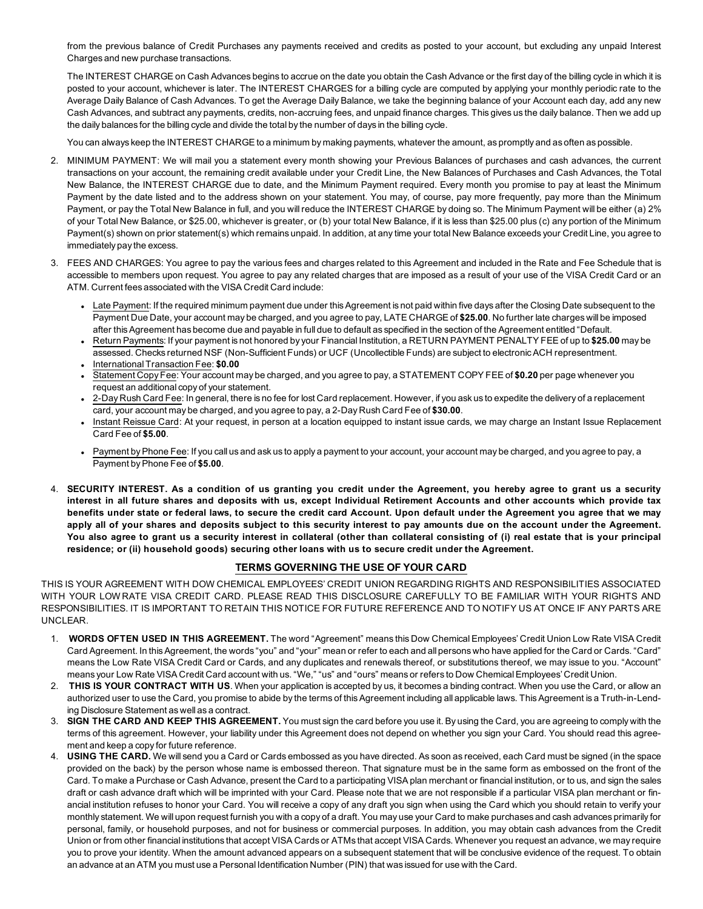from the previous balance of Credit Purchases any payments received and credits as posted to your account, but excluding any unpaid Interest Charges and new purchase transactions.

The INTEREST CHARGE on Cash Advances begins to accrue on the date you obtain the Cash Advance or the first day of the billing cycle in which it is posted to your account, whichever is later. The INTEREST CHARGES for a billing cycle are computed by applying your monthly periodic rate to the Average Daily Balance of Cash Advances. To get the Average Daily Balance, we take the beginning balance of your Account each day, add any new Cash Advances, and subtract any payments, credits, non-accruing fees, and unpaid finance charges. This gives us the daily balance. Then we add up the daily balances for the billing cycle and divide the total by the number of days in the billing cycle.

You can always keep the INTEREST CHARGE to a minimum by making payments, whatever the amount, as promptly and as often as possible.

- 2. MINIMUM PAYMENT: We will mail you a statement every month showing your Previous Balances of purchases and cash advances, the current transactions on your account, the remaining credit available under your Credit Line, the New Balances of Purchases and Cash Advances, the Total New Balance, the INTEREST CHARGE due to date, and the Minimum Payment required. Every month you promise to pay at least the Minimum Payment by the date listed and to the address shown on your statement. You may, of course, pay more frequently, pay more than the Minimum Payment, or pay the Total New Balance in full, and you will reduce the INTEREST CHARGE by doing so. The Minimum Payment will be either (a) 2% of your Total New Balance, or \$25.00, whichever is greater, or (b) your total New Balance, if it is less than \$25.00 plus (c) any portion of the Minimum Payment(s) shown on prior statement(s) which remains unpaid. In addition, at any time your total New Balance exceeds your Credit Line, you agree to immediately pay the excess.
- 3. FEES AND CHARGES: You agree to pay the various fees and charges related to this Agreement and included in the Rate and Fee Schedule that is accessible to members upon request. You agree to pay any related charges that are imposed as a result of your use of the VISA Credit Card or an ATM. Current fees associated with the VISA Credit Card include:
	- Late Payment: If the required minimum payment due under this Agreement is not paid within five days after the Closing Date subsequent to the Payment Due Date, your account may be charged, and you agree to pay, LATE CHARGE of **\$25.00**. No further late charges will be imposed after this Agreement has become due and payable in full due to default as specified in the section of the Agreement entitled "Default.
	- <sup>l</sup> Return Payments: If your payment is not honored by your Financial Institution, a RETURN PAYMENT PENALTY FEE of up to **\$25.00** may be assessed. Checks returned NSF (Non-Sufficient Funds) or UCF (Uncollectible Funds) are subject to electronic ACH representment.
	- <sup>l</sup> InternationalTransaction Fee: **\$0.00**
	- <sup>l</sup> Statement Copy Fee: Your account may be charged, and you agree to pay, a STATEMENT COPY FEE of **\$0.20** per page whenever you request an additional copy of your statement.
	- <sup>l</sup> 2-Day Rush Card Fee: In general, there is no fee for lost Card replacement. However, if you ask us to expedite the delivery of a replacement card, your account may be charged, and you agree to pay, a 2-Day Rush Card Fee of **\$30.00**.
	- Instant Reissue Card: At your request, in person at a location equipped to instant issue cards, we may charge an Instant Issue Replacement Card Fee of **\$5.00**.
	- Payment by Phone Fee: If you call us and ask us to apply a payment to your account, your account may be charged, and you agree to pay, a Payment by Phone Fee of **\$5.00**.
- 4. **SECURITY INTEREST. As a condition of us granting you credit under the Agreement, you hereby agree to grant us a security interest in all future shares and deposits with us, except Individual Retirement Accounts and other accounts which provide tax benefits under state or federal laws, to secure the credit card Account. Upon default under the Agreement you agree that we may apply all of your shares and deposits subject to this security interest to pay amounts due on the account under the Agreement. You also agree to grant us a security interest in collateral (other than collateral consisting of (i) real estate that is your principal residence; or (ii) household goods) securing other loans with us to secure credit under the Agreement.**

# **TERMS GOVERNING THE USE OF YOUR CARD**

THIS IS YOUR AGREEMENT WITH DOW CHEMICAL EMPLOYEES' CREDIT UNION REGARDING RIGHTS AND RESPONSIBILITIES ASSOCIATED WITH YOUR LOW RATE VISA CREDIT CARD. PLEASE READ THIS DISCLOSURE CAREFULLY TO BE FAMILIAR WITH YOUR RIGHTS AND RESPONSIBILITIES. IT IS IMPORTANT TO RETAIN THIS NOTICE FOR FUTURE REFERENCE AND TO NOTIFY US AT ONCE IF ANY PARTS ARE UNCLEAR.

- 1. **WORDS OFTEN USED IN THIS AGREEMENT.** The word "Agreement" means this Dow Chemical Employees' Credit Union Low Rate VISA Credit Card Agreement. In this Agreement, the words "you" and "your" mean or refer to each and all persons who have applied for the Card or Cards. "Card" means the Low Rate VISA Credit Card or Cards, and any duplicates and renewals thereof, or substitutions thereof, we may issue to you. "Account" means your Low Rate VISA Credit Card account with us. "We," "us" and "ours" means or refers to Dow Chemical Employees' Credit Union.
- 2. **THIS IS YOUR CONTRACT WITH US**. When your application is accepted by us, it becomes a binding contract. When you use the Card, or allow an authorized user to use the Card, you promise to abide by the terms of this Agreement including all applicable laws. This Agreement is a Truth-in-Lending Disclosure Statement as well as a contract.
- 3. **SIGN THE CARD AND KEEP THIS AGREEMENT.** You must sign the card before you use it. By using the Card, you are agreeing to comply with the terms of this agreement. However, your liability under this Agreement does not depend on whether you sign your Card. You should read this agreement and keep a copy for future reference.
- 4. **USING THE CARD.** We will send you a Card or Cards embossed as you have directed. As soon as received, each Card must be signed (in the space provided on the back) by the person whose name is embossed thereon. That signature must be in the same form as embossed on the front of the Card. To make a Purchase or Cash Advance, present the Card to a participating VISA plan merchant or financial institution, or to us, and sign the sales draft or cash advance draft which will be imprinted with your Card. Please note that we are not responsible if a particular VISA plan merchant or financial institution refuses to honor your Card. You will receive a copy of any draft you sign when using the Card which you should retain to verify your monthly statement. We will upon request furnish you with a copy of a draft. You may use your Card to make purchases and cash advances primarily for personal, family, or household purposes, and not for business or commercial purposes. In addition, you may obtain cash advances from the Credit Union or from other financial institutions that accept VISA Cards or ATMs that accept VISA Cards. Whenever you request an advance, we may require you to prove your identity. When the amount advanced appears on a subsequent statement that will be conclusive evidence of the request. To obtain an advance at an ATM you must use a Personal Identification Number (PIN) that was issued for use with the Card.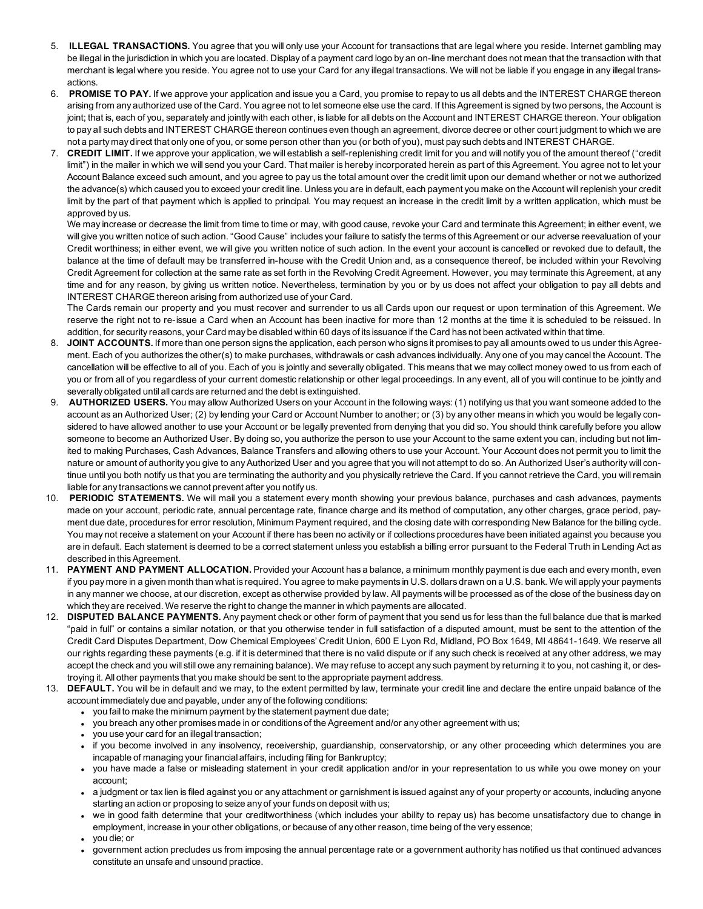- 5. **ILLEGAL TRANSACTIONS.** You agree that you will only use your Account for transactions that are legal where you reside. Internet gambling may be illegal in the jurisdiction in which you are located. Display of a payment card logo by an on-line merchant does not mean that the transaction with that merchant is legal where you reside. You agree not to use your Card for any illegal transactions. We will not be liable if you engage in any illegal transactions.
- 6. **PROMISE TO PAY.** If we approve your application and issue you a Card, you promise to repay to us all debts and the INTEREST CHARGE thereon arising from any authorized use of the Card. You agree not to let someone else use the card. If this Agreement is signed by two persons, the Account is joint; that is, each of you, separately and jointly with each other, is liable for all debts on the Account and INTEREST CHARGE thereon. Your obligation to pay all such debts and INTEREST CHARGE thereon continues even though an agreement, divorce decree or other court judgment to which we are not a party may direct that only one of you, or some person other than you (or both of you), must pay such debts and INTEREST CHARGE.
- 7. **CREDIT LIMIT.** If we approve your application, we will establish a self-replenishing credit limit for you and will notify you of the amount thereof ("credit limit") in the mailer in which we will send you your Card. That mailer is hereby incorporated herein as part of this Agreement. You agree not to let your Account Balance exceed such amount, and you agree to pay us the total amount over the credit limit upon our demand whether or not we authorized the advance(s) which caused you to exceed your credit line. Unless you are in default, each payment you make on the Account will replenish your credit limit by the part of that payment which is applied to principal. You may request an increase in the credit limit by a written application, which must be approved by us.

We may increase or decrease the limit from time to time or may, with good cause, revoke your Card and terminate this Agreement; in either event, we will give you written notice of such action. "Good Cause" includes your failure to satisfy the terms of this Agreement or our adverse reevaluation of your Credit worthiness; in either event, we will give you written notice of such action. In the event your account is cancelled or revoked due to default, the balance at the time of default may be transferred in-house with the Credit Union and, as a consequence thereof, be included within your Revolving Credit Agreement for collection at the same rate as set forth in the Revolving Credit Agreement. However, you may terminate this Agreement, at any time and for any reason, by giving us written notice. Nevertheless, termination by you or by us does not affect your obligation to pay all debts and INTEREST CHARGE thereon arising from authorized use of your Card.

The Cards remain our property and you must recover and surrender to us all Cards upon our request or upon termination of this Agreement. We reserve the right not to re-issue a Card when an Account has been inactive for more than 12 months at the time it is scheduled to be reissued. In addition, for security reasons, your Card may be disabled within 60 days of its issuance if the Card has not been activated within that time.

- 8. **JOINT ACCOUNTS.** If more than one person signs the application, each person who signs it promises to pay all amounts owed to us under this Agreement. Each of you authorizes the other(s) to make purchases, withdrawals or cash advances individually. Any one of you may cancel the Account. The cancellation will be effective to all of you. Each of you is jointly and severally obligated. This means that we may collect money owed to us from each of you or from all of you regardless of your current domestic relationship or other legal proceedings. In any event, all of you will continue to be jointly and severally obligated until all cards are returned and the debt is extinguished.
- 9. **AUTHORIZED USERS.** You may allow Authorized Users on your Account in the following ways: (1) notifying us that you want someone added to the account as an Authorized User; (2) by lending your Card or Account Number to another; or (3) by any other means in which you would be legally considered to have allowed another to use your Account or be legally prevented from denying that you did so. You should think carefully before you allow someone to become an Authorized User. By doing so, you authorize the person to use your Account to the same extent you can, including but not limited to making Purchases, Cash Advances, Balance Transfers and allowing others to use your Account. Your Account does not permit you to limit the nature or amount of authority you give to any Authorized User and you agree that you will not attempt to do so. An Authorized User's authority will continue until you both notify us that you are terminating the authority and you physically retrieve the Card. If you cannot retrieve the Card, you will remain liable for any transactions we cannot prevent after you notify us.
- 10. **PERIODIC STATEMENTS.** We will mail you a statement every month showing your previous balance, purchases and cash advances, payments made on your account, periodic rate, annual percentage rate, finance charge and its method of computation, any other charges, grace period, payment due date, procedures for error resolution, Minimum Payment required, and the closing date with corresponding New Balance for the billing cycle. You may not receive a statement on your Account if there has been no activity or if collections procedures have been initiated against you because you are in default. Each statement is deemed to be a correct statement unless you establish a billing error pursuant to the Federal Truth in Lending Act as described in this Agreement.
- 11. **PAYMENT AND PAYMENT ALLOCATION.** Provided your Account has a balance, a minimum monthly payment is due each and every month, even if you pay more in a given month than what is required. You agree to make payments in U.S. dollars drawn on a U.S. bank. We will apply your payments in any manner we choose, at our discretion, except as otherwise provided by law. All payments will be processed as of the close of the business day on which they are received. We reserve the right to change the manner in which payments are allocated.
- 12. **DISPUTED BALANCE PAYMENTS.** Any payment check or other form of payment that you send us for less than the full balance due that is marked "paid in full" or contains a similar notation, or that you otherwise tender in full satisfaction of a disputed amount, must be sent to the attention of the Credit Card Disputes Department, Dow Chemical Employees' Credit Union, 600 E Lyon Rd, Midland, PO Box 1649, MI 48641-1649. We reserve all our rights regarding these payments (e.g. if it is determined that there is no valid dispute or if any such check is received at any other address, we may accept the check and you will still owe any remaining balance). We may refuse to accept any such payment by returning it to you, not cashing it, or destroying it. All other payments that you make should be sent to the appropriate payment address.
- 13. **DEFAULT.** You will be in default and we may, to the extent permitted by law, terminate your credit line and declare the entire unpaid balance of the account immediately due and payable, under any of the following conditions:
	- you fail to make the minimum payment by the statement payment due date;
	- you breach any other promises made in or conditions of the Agreement and/or any other agreement with us;
	- you use your card for an illegal transaction;
	- <sup>l</sup> if you become involved in any insolvency, receivership, guardianship, conservatorship, or any other proceeding which determines you are incapable of managing your financial affairs, including filing for Bankruptcy;
	- you have made a false or misleading statement in your credit application and/or in your representation to us while you owe money on your account;
	- a judgment or tax lien is filed against you or any attachment or garnishment is issued against any of your property or accounts, including anyone starting an action or proposing to seize any of your funds on deposit with us;
	- we in good faith determine that your creditworthiness (which includes your ability to repay us) has become unsatisfactory due to change in employment, increase in your other obligations, or because of any other reason, time being of the very essence;
	- <sup>l</sup> you die; or
	- <sup>l</sup> government action precludes us from imposing the annual percentage rate or a government authority has notified us that continued advances constitute an unsafe and unsound practice.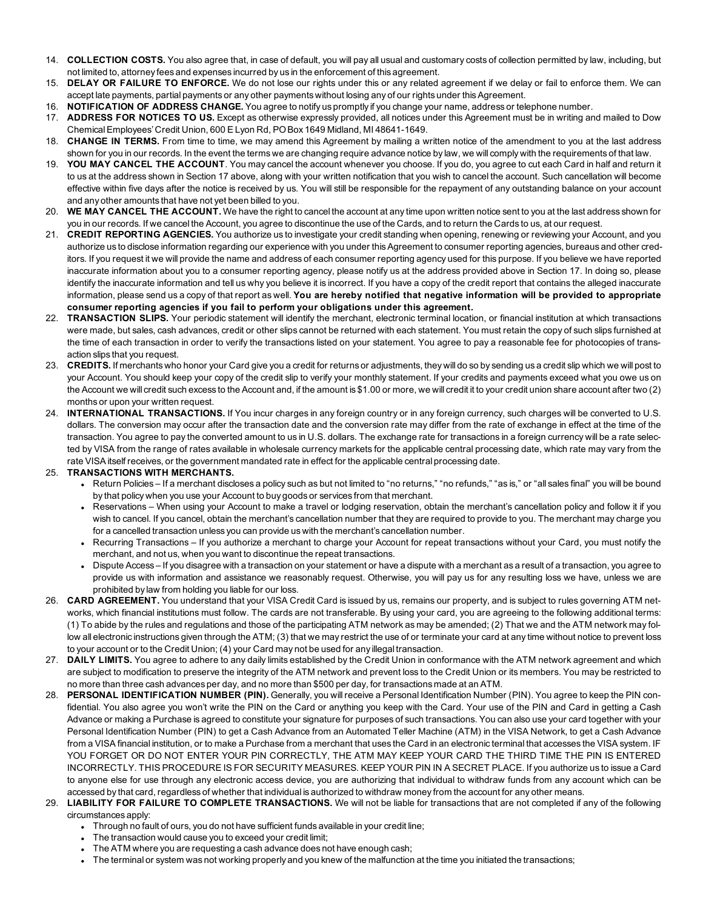- 14. **COLLECTION COSTS.** You also agree that, in case of default, you will pay all usual and customary costs of collection permitted by law, including, but not limited to, attorney fees and expenses incurred by us in the enforcement of this agreement.
- 15. **DELAY OR FAILURE TO ENFORCE.** We do not lose our rights under this or any related agreement if we delay or fail to enforce them. We can accept late payments, partial payments or any other payments without losing any of our rights under this Agreement.
- 16. **NOTIFICATION OF ADDRESS CHANGE.** You agree to notify us promptly if you change your name, address or telephone number.
- 17. **ADDRESS FOR NOTICES TO US.** Except as otherwise expressly provided, all notices under this Agreement must be in writing and mailed to Dow Chemical Employees' Credit Union, 600 E Lyon Rd, PO Box 1649 Midland, MI 48641-1649.
- 18. **CHANGE IN TERMS.** From time to time, we may amend this Agreement by mailing a written notice of the amendment to you at the last address shown for you in our records. In the event the terms we are changing require advance notice by law, we will comply with the requirements of that law.
- 19. **YOU MAY CANCEL THE ACCOUNT**. You may cancel the account whenever you choose. If you do, you agree to cut each Card in half and return it to us at the address shown in Section 17 above, along with your written notification that you wish to cancel the account. Such cancellation will become effective within five days after the notice is received by us. You will still be responsible for the repayment of any outstanding balance on your account and any other amounts that have not yet been billed to you.
- 20. **WE MAY CANCEL THE ACCOUNT.** We have the right to cancel the account at any time upon written notice sent to you at the last address shown for you in our records. If we cancel the Account, you agree to discontinue the use of the Cards, and to return the Cards to us, at our request.
- 21. **CREDIT REPORTING AGENCIES.** You authorize us to investigate your credit standing when opening, renewing or reviewing your Account, and you authorize us to disclose information regarding our experience with you under this Agreement to consumer reporting agencies, bureaus and other creditors. If you request it we will provide the name and address of each consumer reporting agency used for this purpose. If you believe we have reported inaccurate information about you to a consumer reporting agency, please notify us at the address provided above in Section 17. In doing so, please identify the inaccurate information and tell us why you believe it is incorrect. If you have a copy of the credit report that contains the alleged inaccurate information, please send us a copy of that report as well. **You are hereby notified that negative information will be provided to appropriate consumer reporting agencies if you fail to perform your obligations under this agreement.**
- 22. **TRANSACTION SLIPS.** Your periodic statement will identify the merchant, electronic terminal location, or financial institution at which transactions were made, but sales, cash advances, credit or other slips cannot be returned with each statement. You must retain the copy of such slips furnished at the time of each transaction in order to verify the transactions listed on your statement. You agree to pay a reasonable fee for photocopies of transaction slips that you request.
- 23. **CREDITS.** If merchants who honor your Card give you a credit for returns or adjustments, they will do so by sending us a credit slip which we will post to your Account. You should keep your copy of the credit slip to verify your monthly statement. If your credits and payments exceed what you owe us on the Account we will credit such excess to the Account and, if the amount is \$1.00 or more, we will credit it to your credit union share account after two (2) months or upon your written request.
- 24. **INTERNATIONAL TRANSACTIONS.** If You incur charges in any foreign country or in any foreign currency, such charges will be converted to U.S. dollars. The conversion may occur after the transaction date and the conversion rate may differ from the rate of exchange in effect at the time of the transaction. You agree to pay the converted amount to us in U.S. dollars. The exchange rate for transactions in a foreign currency will be a rate selected by VISA from the range of rates available in wholesale currency markets for the applicable central processing date, which rate may vary from the rate VISA itself receives, or the government mandated rate in effect for the applicable central processing date.

# 25. **TRANSACTIONS WITH MERCHANTS.**

- Return Policies If a merchant discloses a policy such as but not limited to "no returns," "no refunds," "as is," or "all sales final" you will be bound by that policy when you use your Account to buy goods or services from that merchant.
- <sup>l</sup> Reservations When using your Account to make a travel or lodging reservation, obtain the merchant's cancellation policy and follow it if you wish to cancel. If you cancel, obtain the merchant's cancellation number that they are required to provide to you. The merchant may charge you for a cancelled transaction unless you can provide us with the merchant's cancellation number.
- Recurring Transactions If you authorize a merchant to charge your Account for repeat transactions without your Card, you must notify the merchant, and not us, when you want to discontinue the repeat transactions.
- Dispute Access If you disagree with a transaction on your statement or have a dispute with a merchant as a result of a transaction, you agree to provide us with information and assistance we reasonably request. Otherwise, you will pay us for any resulting loss we have, unless we are prohibited by law from holding you liable for our loss.
- 26. **CARD AGREEMENT.** You understand that your VISA Credit Card is issued by us, remains our property, and is subject to rules governing ATM networks, which financial institutions must follow. The cards are not transferable. By using your card, you are agreeing to the following additional terms: (1) To abide by the rules and regulations and those of the participating ATM network as may be amended; (2) That we and the ATM network may follow all electronic instructions given through the ATM; (3) that we may restrict the use of or terminate your card at any time without notice to prevent loss to your account or to the Credit Union; (4) your Card may not be used for any illegal transaction.
- 27. **DAILY LIMITS.** You agree to adhere to any daily limits established by the Credit Union in conformance with the ATM network agreement and which are subject to modification to preserve the integrity of the ATM network and prevent loss to the Credit Union or its members. You may be restricted to no more than three cash advances per day, and no more than \$500 per day, for transactions made at an ATM.
- 28. **PERSONAL IDENTIFICATION NUMBER (PIN).** Generally, you will receive a Personal Identification Number (PIN). You agree to keep the PIN confidential. You also agree you won't write the PIN on the Card or anything you keep with the Card. Your use of the PIN and Card in getting a Cash Advance or making a Purchase is agreed to constitute your signature for purposes of such transactions. You can also use your card together with your Personal Identification Number (PIN) to get a Cash Advance from an Automated Teller Machine (ATM) in the VISA Network, to get a Cash Advance from a VISA financial institution, or to make a Purchase from a merchant that uses the Card in an electronic terminal that accesses the VISA system. IF YOU FORGET OR DO NOT ENTER YOUR PIN CORRECTLY, THE ATM MAY KEEP YOUR CARD THE THIRD TIME THE PIN IS ENTERED INCORRECTLY. THIS PROCEDURE IS FOR SECURITY MEASURES. KEEP YOUR PIN IN A SECRET PLACE. If you authorize us to issue a Card to anyone else for use through any electronic access device, you are authorizing that individual to withdraw funds from any account which can be accessed by that card, regardless of whether that individual is authorized to withdraw money from the account for any other means.
- 29. **LIABILITY FOR FAILURE TO COMPLETE TRANSACTIONS.** We will not be liable for transactions that are not completed if any of the following circumstances apply:
	- Through no fault of ours, you do not have sufficient funds available in your credit line;
	- The transaction would cause you to exceed your credit limit;
	- The ATM where you are requesting a cash advance does not have enough cash;
	- The terminal or system was not working properly and you knew of the malfunction at the time you initiated the transactions;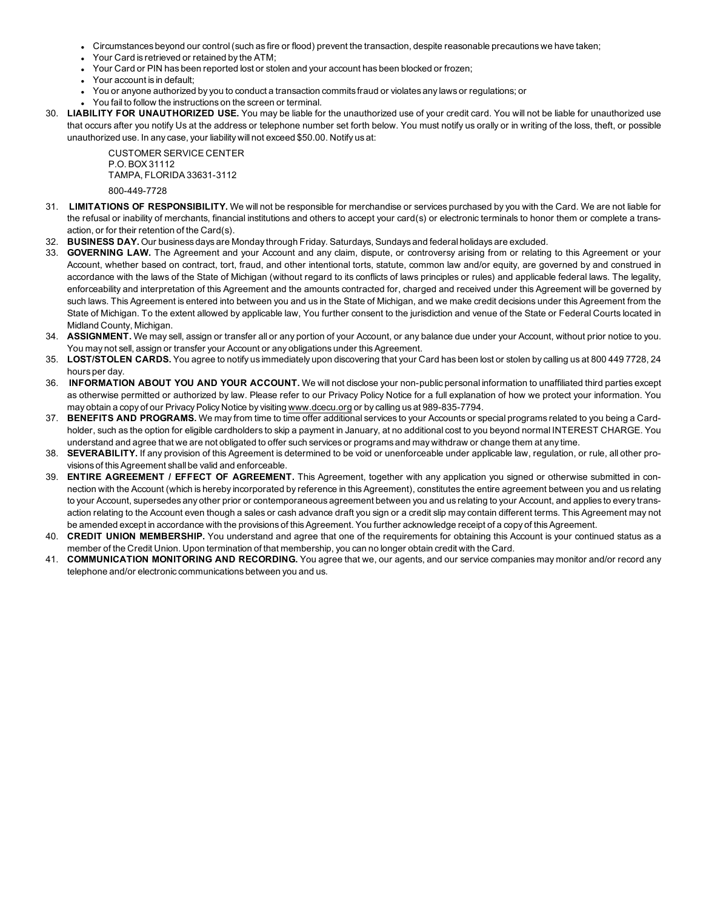- <sup>l</sup> Circumstances beyond our control (such as fire or flood) prevent the transaction, despite reasonable precautions we have taken;
- Your Card is retrieved or retained by the ATM;
- <sup>l</sup> Your Card or PIN has been reported lost or stolen and your account has been blocked or frozen;
- Your account is in default:
- You or anyone authorized by you to conduct a transaction commits fraud or violates any laws or regulations; or
- You fail to follow the instructions on the screen or terminal.
- 30. **LIABILITY FOR UNAUTHORIZED USE.** You may be liable for the unauthorized use of your credit card. You will not be liable for unauthorized use that occurs after you notify Us at the address or telephone number set forth below. You must notify us orally or in writing of the loss, theft, or possible unauthorized use. In any case, your liability will not exceed \$50.00. Notify us at:

CUSTOMER SERVICE CENTER P.O. BOX 31112 TAMPA, FLORIDA 33631-3112 800-449-7728

- 31. **LIMITATIONS OF RESPONSIBILITY.** We will not be responsible for merchandise or services purchased by you with the Card. We are not liable for the refusal or inability of merchants, financial institutions and others to accept your card(s) or electronic terminals to honor them or complete a transaction, or for their retention of the Card(s).
- 32. **BUSINESS DAY.** Our business days are Monday through Friday. Saturdays, Sundays and federal holidays are excluded.
- 33. **GOVERNING LAW.** The Agreement and your Account and any claim, dispute, or controversy arising from or relating to this Agreement or your Account, whether based on contract, tort, fraud, and other intentional torts, statute, common law and/or equity, are governed by and construed in accordance with the laws of the State of Michigan (without regard to its conflicts of laws principles or rules) and applicable federal laws. The legality, enforceability and interpretation of this Agreement and the amounts contracted for, charged and received under this Agreement will be governed by such laws. This Agreement is entered into between you and us in the State of Michigan, and we make credit decisions under this Agreement from the State of Michigan. To the extent allowed by applicable law, You further consent to the jurisdiction and venue of the State or Federal Courts located in Midland County, Michigan.
- 34. **ASSIGNMENT.** We may sell, assign or transfer all or any portion of your Account, or any balance due under your Account, without prior notice to you. You may not sell, assign or transfer your Account or any obligations under this Agreement.
- 35. **LOST/STOLEN CARDS.** You agree to notify us immediately upon discovering that your Card has been lost or stolen by calling us at 800 449 7728, 24 hours per day.
- 36. **INFORMATION ABOUT YOU AND YOUR ACCOUNT.** We will not disclose your non-public personal information to unaffiliated third parties except as otherwise permitted or authorized by law. Please refer to our Privacy Policy Notice for a full explanation of how we protect your information. You may obtain a copy of our Privacy Policy Notice by visiting [www.dcecu.org](http://www.dcecu.org/) or by calling us at 989-835-7794.
- 37. **BENEFITS AND PROGRAMS.** We may from time to time offer additional services to your Accounts or special programs related to you being a Cardholder, such as the option for eligible cardholders to skip a payment in January, at no additional cost to you beyond normal INTEREST CHARGE. You understand and agree that we are not obligated to offer such services or programs and may withdraw or change them at any time.
- 38. **SEVERABILITY.** If any provision of this Agreement is determined to be void or unenforceable under applicable law, regulation, or rule, all other provisions of this Agreement shall be valid and enforceable.
- 39. **ENTIRE AGREEMENT / EFFECT OF AGREEMENT.** This Agreement, together with any application you signed or otherwise submitted in connection with the Account (which is hereby incorporated by reference in this Agreement), constitutes the entire agreement between you and us relating to your Account, supersedes any other prior or contemporaneous agreement between you and us relating to your Account, and applies to every transaction relating to the Account even though a sales or cash advance draft you sign or a credit slip may contain different terms. This Agreement may not be amended except in accordance with the provisions of this Agreement. You further acknowledge receipt of a copy of this Agreement.
- 40. **CREDIT UNION MEMBERSHIP.** You understand and agree that one of the requirements for obtaining this Account is your continued status as a member of the Credit Union. Upon termination of that membership, you can no longer obtain credit with the Card.
- 41. **COMMUNICATION MONITORING AND RECORDING.** You agree that we, our agents, and our service companies may monitor and/or record any telephone and/or electronic communications between you and us.